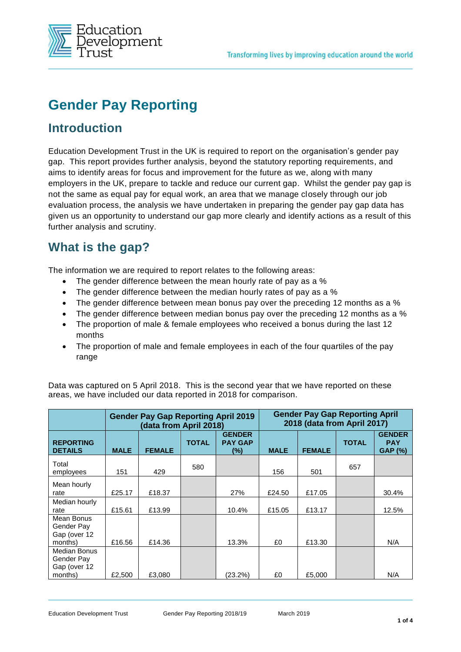

# **Gender Pay Reporting**

#### **Introduction**

Education Development Trust in the UK is required to report on the organisation's gender pay gap. This report provides further analysis, beyond the statutory reporting requirements, and aims to identify areas for focus and improvement for the future as we, along with many employers in the UK, prepare to tackle and reduce our current gap. Whilst the gender pay gap is not the same as equal pay for equal work, an area that we manage closely through our job evaluation process, the analysis we have undertaken in preparing the gender pay gap data has given us an opportunity to understand our gap more clearly and identify actions as a result of this further analysis and scrutiny.

### **What is the gap?**

The information we are required to report relates to the following areas:

- The gender difference between the mean hourly rate of pay as a %
- The gender difference between the median hourly rates of pay as a %
- The gender difference between mean bonus pay over the preceding 12 months as a %
- The gender difference between median bonus pay over the preceding 12 months as a %
- The proportion of male & female employees who received a bonus during the last 12 months
- The proportion of male and female employees in each of the four quartiles of the pay range

|                                                       |             | <b>Gender Pay Gap Reporting April 2019</b><br>(data from April 2018) |              |                                           | <b>Gender Pay Gap Reporting April</b><br>2018 (data from April 2017) |               |              |                                               |  |
|-------------------------------------------------------|-------------|----------------------------------------------------------------------|--------------|-------------------------------------------|----------------------------------------------------------------------|---------------|--------------|-----------------------------------------------|--|
| <b>REPORTING</b><br><b>DETAILS</b>                    | <b>MALE</b> | <b>FEMALE</b>                                                        | <b>TOTAL</b> | <b>GENDER</b><br><b>PAY GAP</b><br>$(\%)$ | <b>MALE</b>                                                          | <b>FEMALE</b> | <b>TOTAL</b> | <b>GENDER</b><br><b>PAY</b><br><b>GAP (%)</b> |  |
| Total<br>employees                                    | 151         | 429                                                                  | 580          |                                           | 156                                                                  | 501           | 657          |                                               |  |
| Mean hourly<br>rate                                   | £25.17      | £18.37                                                               |              | 27%                                       | £24.50                                                               | £17.05        |              | 30.4%                                         |  |
| Median hourly<br>rate                                 | £15.61      | £13.99                                                               |              | 10.4%                                     | £15.05                                                               | £13.17        |              | 12.5%                                         |  |
| Mean Bonus<br>Gender Pay<br>Gap (over 12<br>months)   | £16.56      | £14.36                                                               |              | 13.3%                                     | £0                                                                   | £13.30        |              | N/A                                           |  |
| Median Bonus<br>Gender Pay<br>Gap (over 12<br>months) | £2,500      | £3,080                                                               |              | (23.2%)                                   | £0                                                                   | £5,000        |              | N/A                                           |  |

Data was captured on 5 April 2018. This is the second year that we have reported on these areas, we have included our data reported in 2018 for comparison.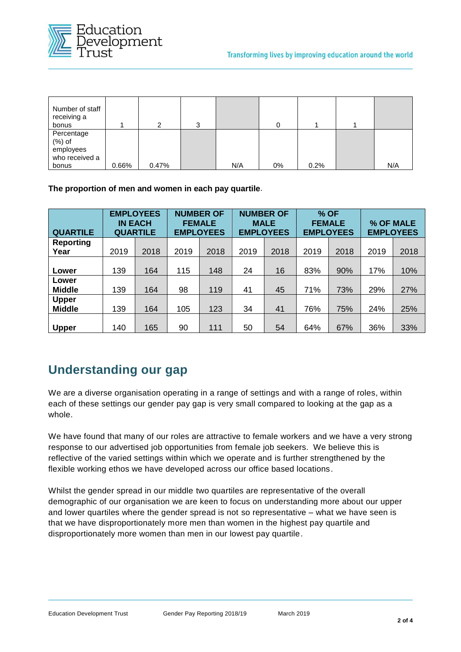

| Number of staff<br>receiving a<br>bonus                |       | 2     | 3 |     |    |      |     |
|--------------------------------------------------------|-------|-------|---|-----|----|------|-----|
| Percentage<br>$(\%)$ of<br>employees<br>who received a |       |       |   |     |    |      |     |
| bonus                                                  | 0.66% | 0.47% |   | N/A | 0% | 0.2% | N/A |

**The proportion of men and women in each pay quartile**.

| <b>QUARTILE</b>               | <b>EMPLOYEES</b><br><b>IN EACH</b><br><b>QUARTILE</b> |      | <b>NUMBER OF</b><br><b>FEMALE</b><br><b>EMPLOYEES</b> |      | <b>NUMBER OF</b><br><b>MALE</b><br><b>EMPLOYEES</b> |      | % OF<br><b>FEMALE</b><br><b>EMPLOYEES</b> |      | % OF MALE<br><b>EMPLOYEES</b> |      |
|-------------------------------|-------------------------------------------------------|------|-------------------------------------------------------|------|-----------------------------------------------------|------|-------------------------------------------|------|-------------------------------|------|
| <b>Reporting</b><br>Year      | 2019                                                  | 2018 | 2019                                                  | 2018 | 2019                                                | 2018 | 2019                                      | 2018 | 2019                          | 2018 |
| Lower                         | 139                                                   | 164  | 115                                                   | 148  | 24                                                  | 16   | 83%                                       | 90%  | 17%                           | 10%  |
| Lower<br><b>Middle</b>        | 139                                                   | 164  | 98                                                    | 119  | 41                                                  | 45   | 71%                                       | 73%  | 29%                           | 27%  |
| <b>Upper</b><br><b>Middle</b> | 139                                                   | 164  | 105                                                   | 123  | 34                                                  | 41   | 76%                                       | 75%  | 24%                           | 25%  |
| <b>Upper</b>                  | 140                                                   | 165  | 90                                                    | 111  | 50                                                  | 54   | 64%                                       | 67%  | 36%                           | 33%  |

### **Understanding our gap**

We are a diverse organisation operating in a range of settings and with a range of roles, within each of these settings our gender pay gap is very small compared to looking at the gap as a whole.

We have found that many of our roles are attractive to female workers and we have a very strong response to our advertised job opportunities from female job seekers. We believe this is reflective of the varied settings within which we operate and is further strengthened by the flexible working ethos we have developed across our office based locations.

Whilst the gender spread in our middle two quartiles are representative of the overall demographic of our organisation we are keen to focus on understanding more about our upper and lower quartiles where the gender spread is not so representative – what we have seen is that we have disproportionately more men than women in the highest pay quartile and disproportionately more women than men in our lowest pay quartile.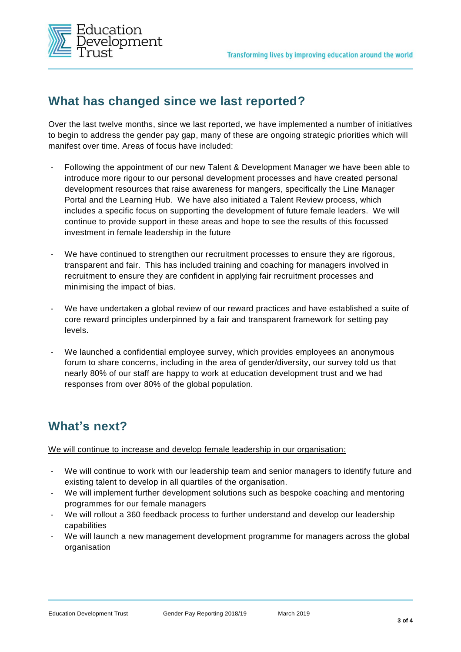

### **What has changed since we last reported?**

Over the last twelve months, since we last reported, we have implemented a number of initiatives to begin to address the gender pay gap, many of these are ongoing strategic priorities which will manifest over time. Areas of focus have included:

- Following the appointment of our new Talent & Development Manager we have been able to introduce more rigour to our personal development processes and have created personal development resources that raise awareness for mangers, specifically the Line Manager Portal and the Learning Hub. We have also initiated a Talent Review process, which includes a specific focus on supporting the development of future female leaders. We will continue to provide support in these areas and hope to see the results of this focussed investment in female leadership in the future
- We have continued to strengthen our recruitment processes to ensure they are rigorous, transparent and fair. This has included training and coaching for managers involved in recruitment to ensure they are confident in applying fair recruitment processes and minimising the impact of bias.
- We have undertaken a global review of our reward practices and have established a suite of core reward principles underpinned by a fair and transparent framework for setting pay levels.
- We launched a confidential employee survey, which provides employees an anonymous forum to share concerns, including in the area of gender/diversity, our survey told us that nearly 80% of our staff are happy to work at education development trust and we had responses from over 80% of the global population.

### **What's next?**

We will continue to increase and develop female leadership in our organisation:

- We will continue to work with our leadership team and senior managers to identify future and existing talent to develop in all quartiles of the organisation.
- We will implement further development solutions such as bespoke coaching and mentoring programmes for our female managers
- We will rollout a 360 feedback process to further understand and develop our leadership capabilities
- We will launch a new management development programme for managers across the global organisation